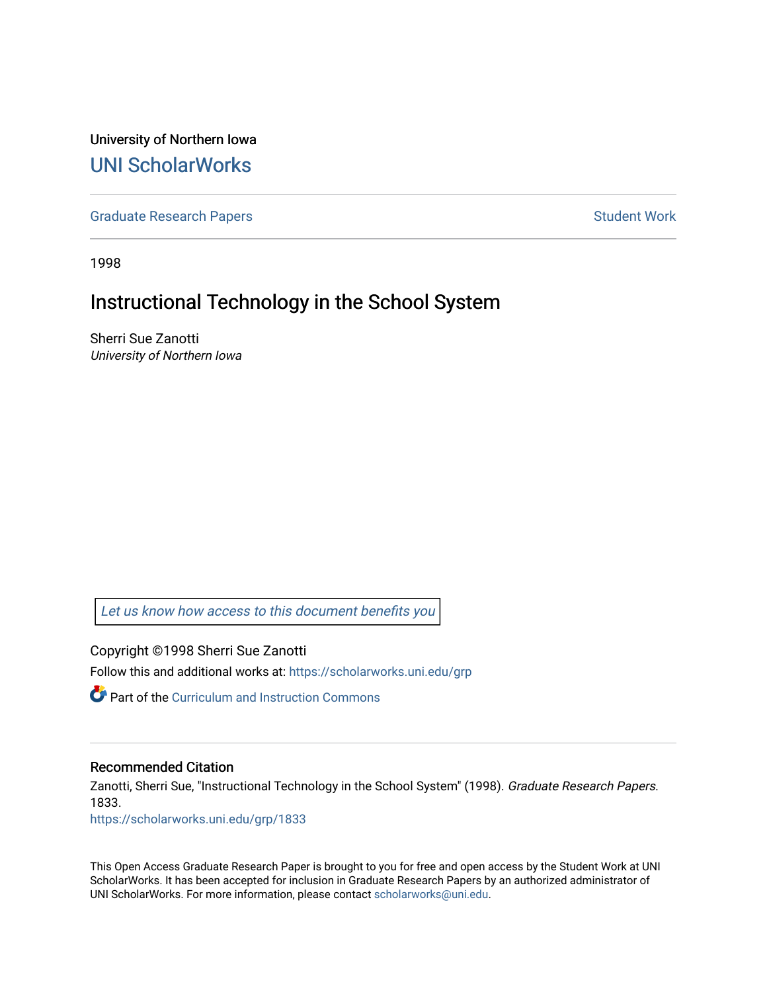University of Northern Iowa [UNI ScholarWorks](https://scholarworks.uni.edu/) 

[Graduate Research Papers](https://scholarworks.uni.edu/grp) **Student Work** Student Work

1998

# Instructional Technology in the School System

Sherri Sue Zanotti University of Northern Iowa

[Let us know how access to this document benefits you](https://scholarworks.uni.edu/feedback_form.html) 

Copyright ©1998 Sherri Sue Zanotti Follow this and additional works at: [https://scholarworks.uni.edu/grp](https://scholarworks.uni.edu/grp?utm_source=scholarworks.uni.edu%2Fgrp%2F1833&utm_medium=PDF&utm_campaign=PDFCoverPages) 

Part of the [Curriculum and Instruction Commons](http://network.bepress.com/hgg/discipline/786?utm_source=scholarworks.uni.edu%2Fgrp%2F1833&utm_medium=PDF&utm_campaign=PDFCoverPages) 

# Recommended Citation

Zanotti, Sherri Sue, "Instructional Technology in the School System" (1998). Graduate Research Papers. 1833.

[https://scholarworks.uni.edu/grp/1833](https://scholarworks.uni.edu/grp/1833?utm_source=scholarworks.uni.edu%2Fgrp%2F1833&utm_medium=PDF&utm_campaign=PDFCoverPages) 

This Open Access Graduate Research Paper is brought to you for free and open access by the Student Work at UNI ScholarWorks. It has been accepted for inclusion in Graduate Research Papers by an authorized administrator of UNI ScholarWorks. For more information, please contact [scholarworks@uni.edu.](mailto:scholarworks@uni.edu)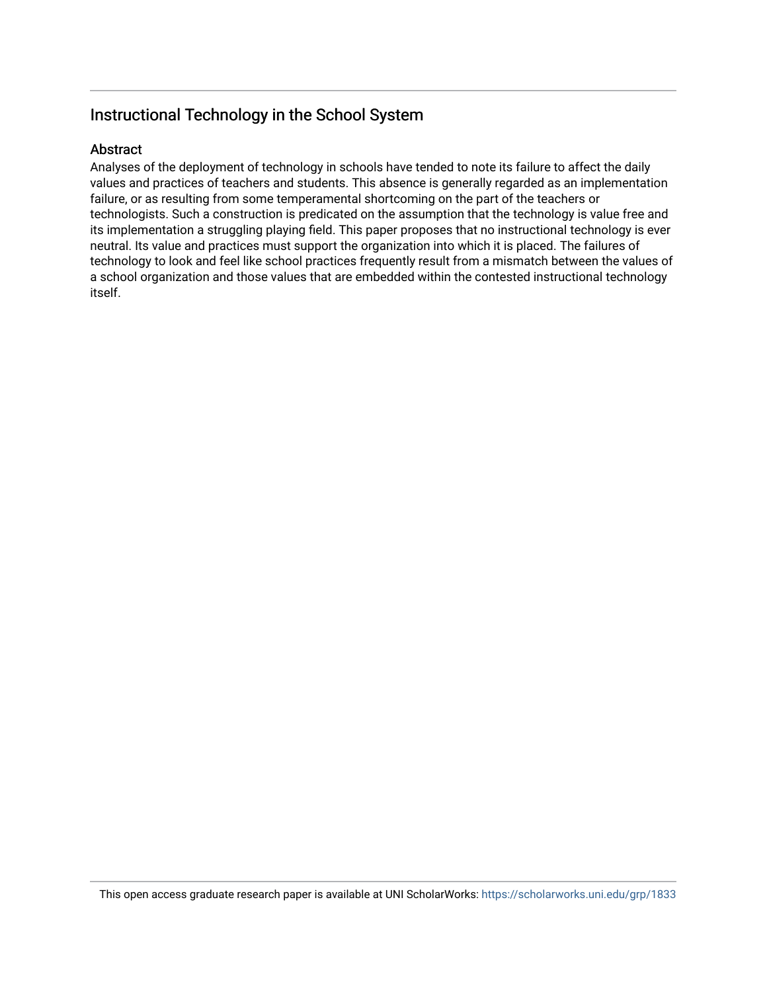# Instructional Technology in the School System

# Abstract

Analyses of the deployment of technology in schools have tended to note its failure to affect the daily values and practices of teachers and students. This absence is generally regarded as an implementation failure, or as resulting from some temperamental shortcoming on the part of the teachers or technologists. Such a construction is predicated on the assumption that the technology is value free and its implementation a struggling playing field. This paper proposes that no instructional technology is ever neutral. Its value and practices must support the organization into which it is placed. The failures of technology to look and feel like school practices frequently result from a mismatch between the values of a school organization and those values that are embedded within the contested instructional technology itself.

This open access graduate research paper is available at UNI ScholarWorks: <https://scholarworks.uni.edu/grp/1833>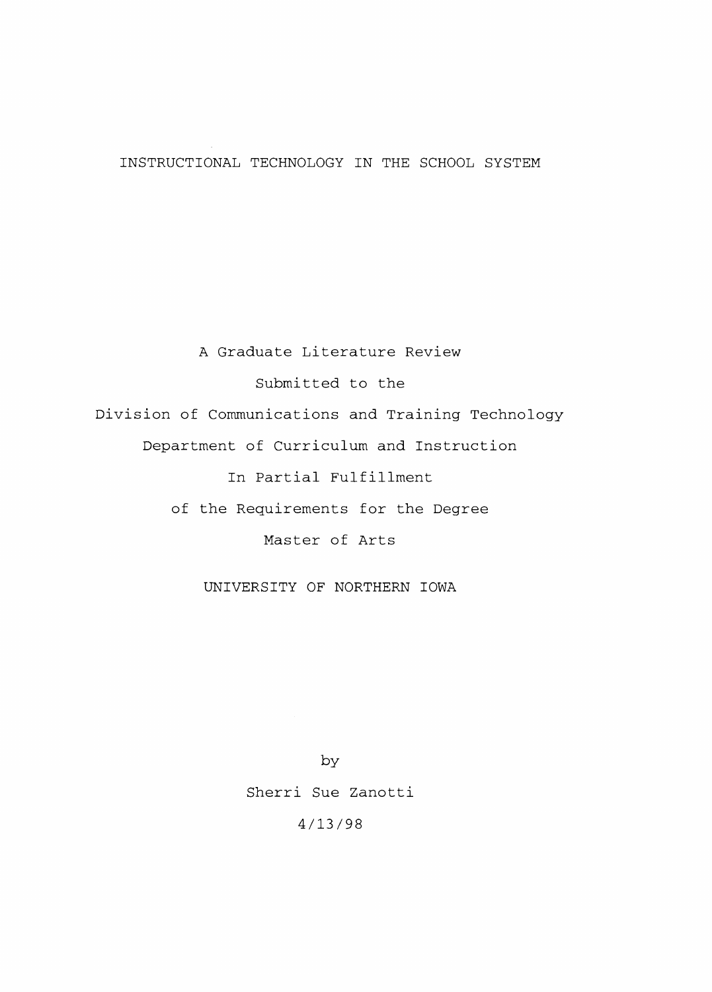INSTRUCTIONAL TECHNOLOGY IN THE SCHOOL SYSTEM

A Graduate Literature Review Submitted to the Division of Communications and Training Technology Department of Curriculum and Instruction In Partial Fulfillment of the Requirements for the Degree Master of Arts

UNIVERSITY OF NORTHERN IOWA

by Sherri Sue Zanotti 4/13/98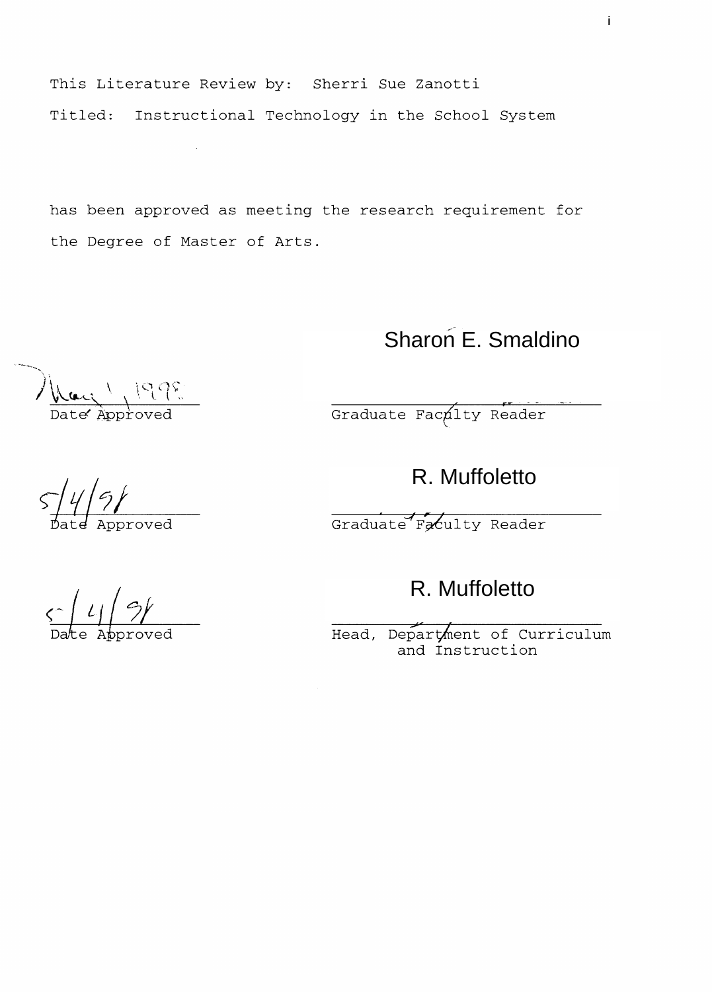This Literature Review by: Sherri Sue Zanotti Titled: Instructional Technology in the School System

has been approved as meeting the research requirement for the Degree of Master of Arts.

# Sharon E. Smaldino

Graduate Faculty Reader

R. Muffoletto

Graduate Faculty Reader

R. Muffoletto

Head, Department of Curriculum and Instruction

 $\frac{\zeta \cdot \left( l \right) \cdot \frac{1}{2}}{\text{Date Approach}}$ 

Hay 1998

 $\sqrt{\frac{4}{9}}$ <br>Date Approved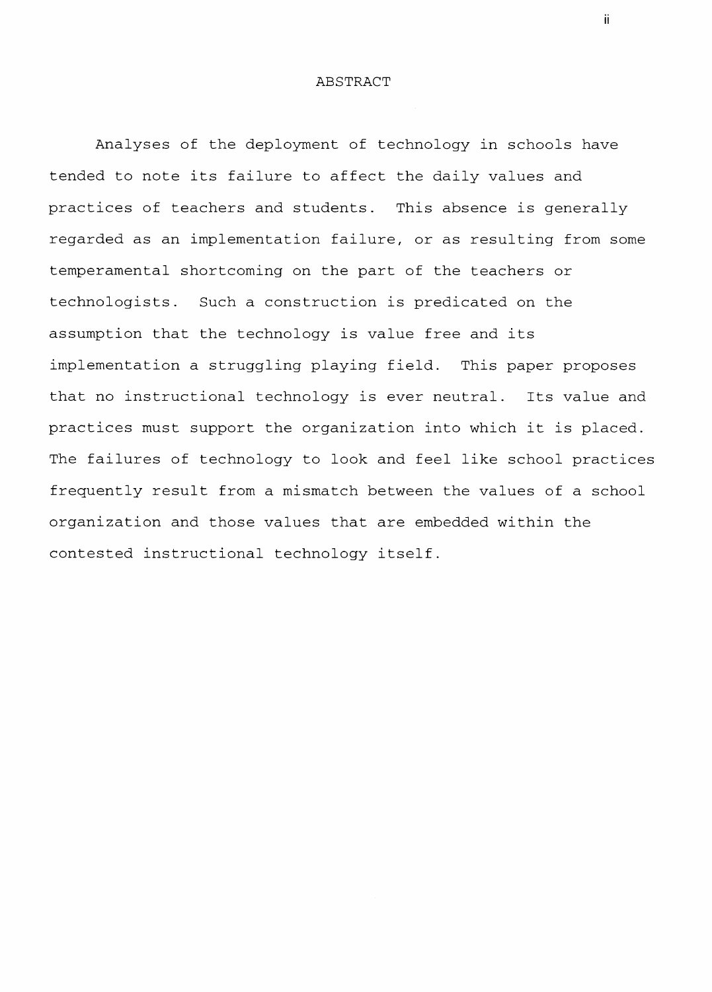# ABSTRACT

Analyses of the deployment of technology in schools have tended to note its failure to affect the daily values and practices of teachers and students. This absence is generally regarded as an implementation failure, or as resulting from some temperamental shortcoming on the part of the teachers or technologists. Such a construction is predicated on the assumption that the technology is value free and its implementation a struggling playing field. This paper proposes that no instructional technology is ever neutral. Its value and practices must support the organization into which it is placed. The failures of technology to look and feel like school practices frequently result from a mismatch between the values of a school organization and those values that are embedded within the contested instructional technology itself.

ii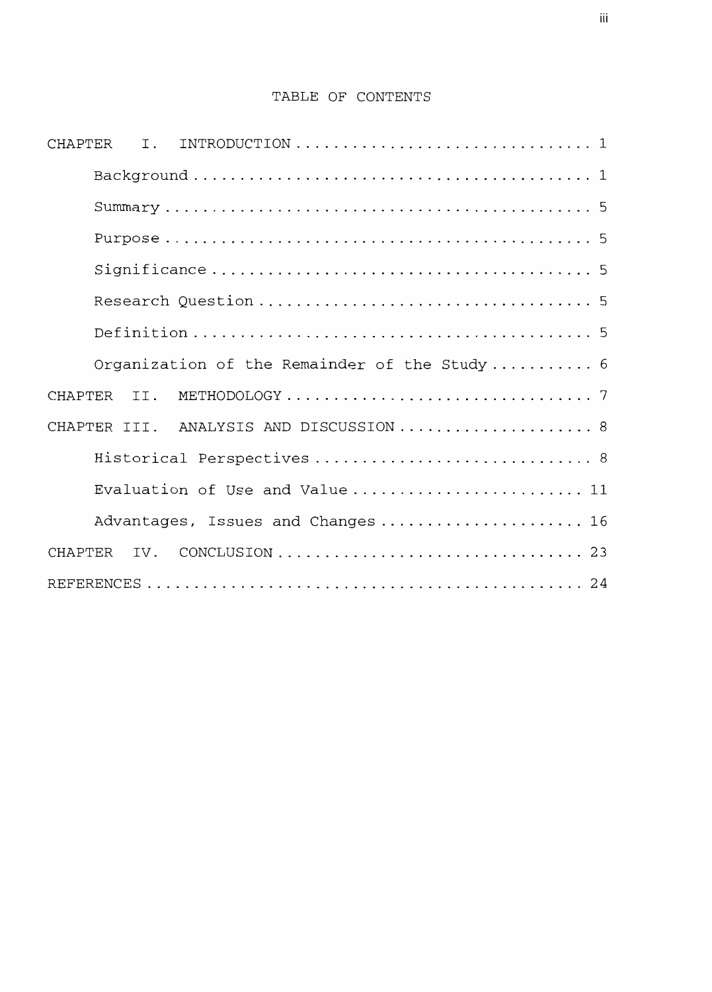# TABLE OF CONTENTS

| Organization of the Remainder of the Study 6 |
|----------------------------------------------|
|                                              |
| CHAPTER III. ANALYSIS AND DISCUSSION 8       |
| Historical Perspectives  8                   |
| Evaluation of Use and Value 11               |
| Advantages, Issues and Changes 16            |
|                                              |
|                                              |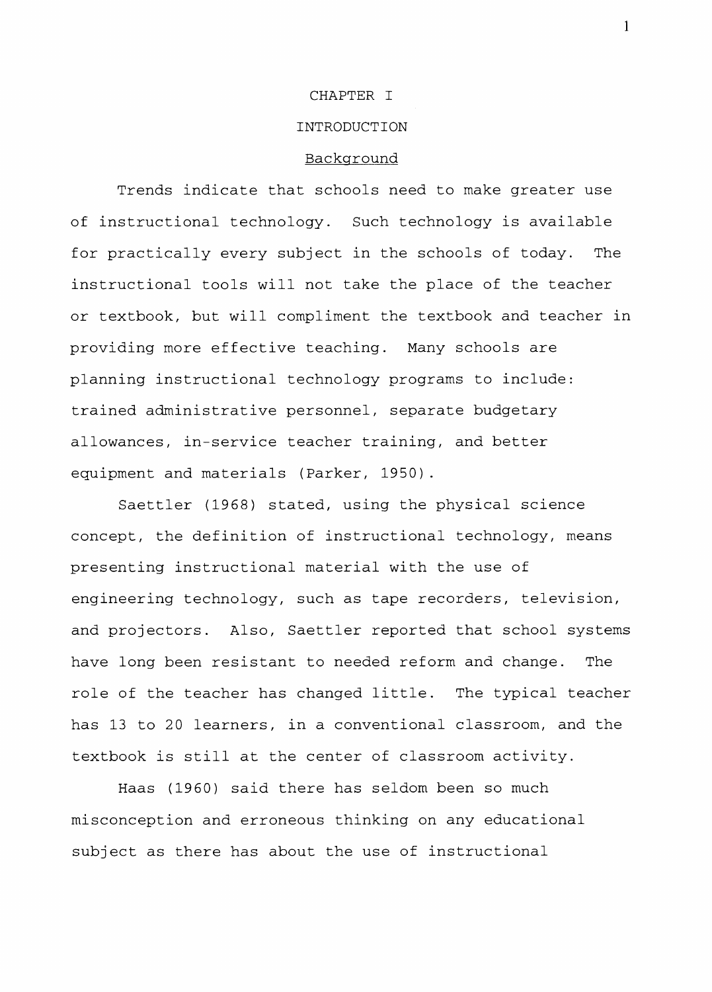#### CHAPTER I

### INTRODUCTION

# Background

Trends indicate that schools need to make greater use of instructional technology. Such technology is available for practically every subject in the schools of today. The instructional tools will not take the place of the teacher or textbook, but will compliment the textbook and teacher in providing more effective teaching. Many schools are planning instructional technology programs to include: trained administrative personnel, separate budgetary allowances, in-service teacher training, and better equipment and materials (Parker, 1950).

Saettler (1968) stated, using the physical science concept, the definition of instructional technology, means presenting instructional material with the use of engineering technology, such as tape recorders, television, and projectors. Also, Saettler reported that school systems have long been resistant to needed reform and change. The role of the teacher has changed little. The typical teacher has 13 to 20 learners, in a conventional classroom, and the textbook is still at the center of classroom activity.

Haas (1960) said there has seldom been so much misconception and erroneous thinking on any educational subject as there has about the use of instructional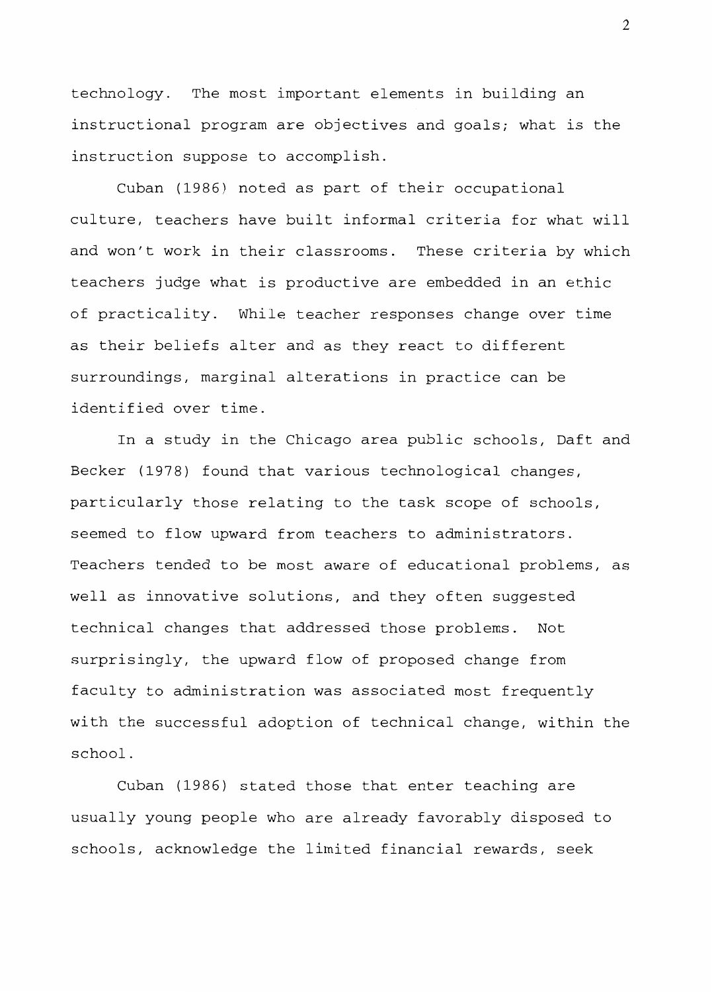technology. The most important elements in building an instructional program are objectives and goals; what is the instruction suppose to accomplish.

Cuban (1986) noted as part of their occupational culture, teachers have built informal criteria for what will and won't work in their classrooms. These criteria by which teachers judge what is productive are embedded in an ethic of practicality. While teacher responses change over time as their beliefs alter and as they react to different surroundings, marginal alterations in practice can be identified over time.

In a study in the Chicago area public schools, Daft and Becker (1978) found that various technological changes, particularly those relating to the task scope of schools, seemed to flow upward from teachers to administrators. Teachers tended to be most aware of educational problems, as well as innovative solutions, and they often suggested technical changes that addressed those problems. Not surprisingly, the upward flow of proposed change from faculty to administration was associated most frequently with the successful adoption of technical change, within the school.

Cuban (1986) stated those that enter teaching are usually young people who are already favorably disposed to schools, acknowledge the limited financial rewards, seek

 $\mathfrak{D}$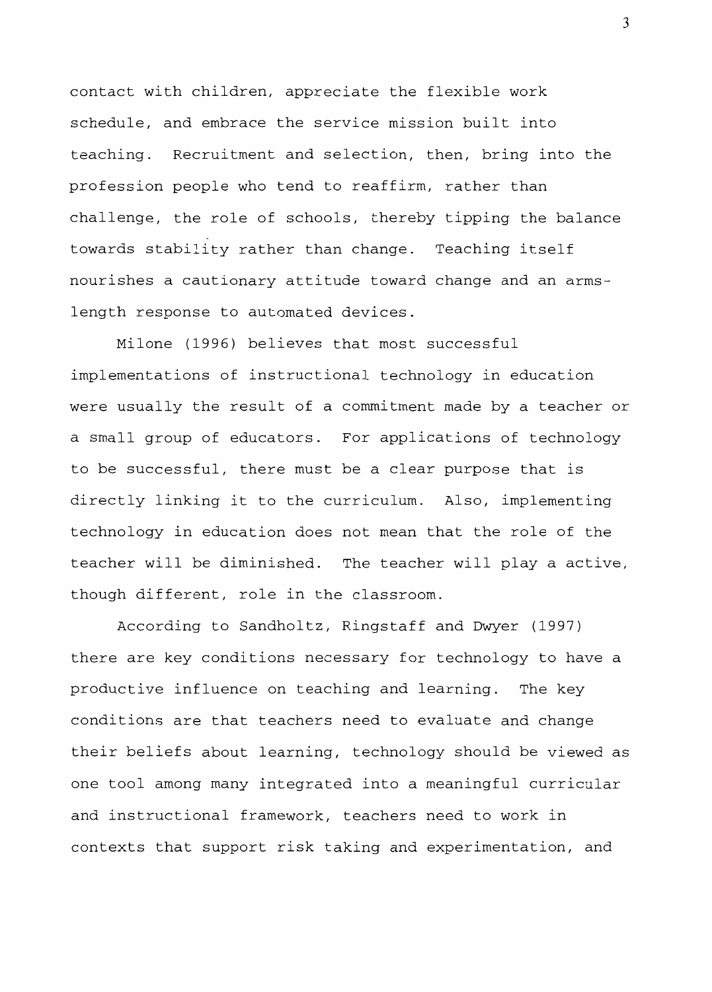contact with children, appreciate the flexible work schedule, and embrace the service mission built into teaching. Recruitment and selection, then, bring into the profession people who tend to reaffirm, rather than challenge, the role of schools, thereby tipping the balance towards stability rather than change. Teaching itself nourishes a cautionary attitude toward change and an armslength response to automated devices.

Milone (1996) believes that most successful implementations of instructional technology in education were usually the result of a commitment made by a teacher or a small group of educators. For applications of technology to be successful, there must be a clear purpose that is directly linking it to the curriculum. Also, implementing technology in education does not mean that the role of the teacher will be diminished. The teacher will play a active, though different, role in the classroom.

According to Sandholtz, Ringstaff and Dwyer (1997) there are key conditions necessary for technology to have a productive influence on teaching and learning. The key conditions are that teachers need to evaluate and change their beliefs about learning, technology should be viewed as one tool among many integrated into a meaningful curricular and instructional framework, teachers need to work in contexts that support risk taking and experimentation, and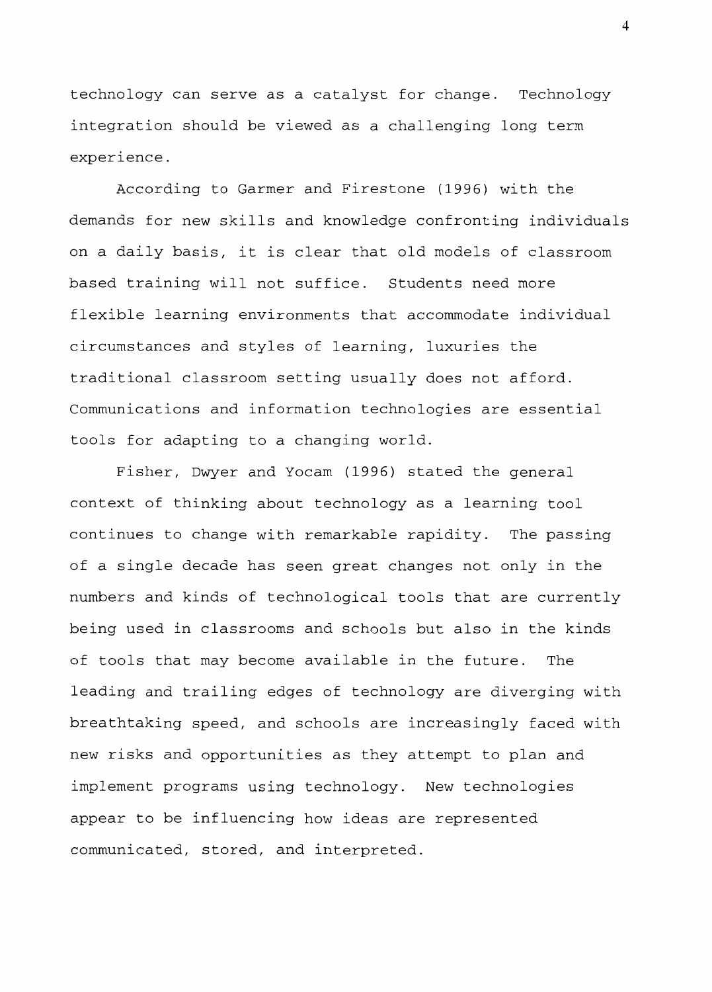technology can serve as a catalyst for change. Technology integration should be viewed as a challenging long term experience.

According to Garmer and Firestone (1996) with the demands for new skills and knowledge confronting individuals on a daily basis, it is clear that old models of classroom based training will not suffice. Students need more flexible learning environments that accommodate individual circumstances and styles of learning, luxuries the traditional classroom setting usually does not afford. Communications and information technologies are essential tools for adapting to a changing world.

Fisher, Dwyer and Yocam (1996) stated the general context of thinking about technology as a learning tool continues to change with remarkable rapidity. The passing of a single decade has seen great changes not only in the numbers and kinds of technological tools that are currently being used in classrooms and schools but also in the kinds of tools that may become available in the future. The leading and trailing edges of technology are diverging with breathtaking speed, and schools are increasingly faced with new risks and opportunities as they attempt to plan and implement programs using technology. New technologies appear to be influencing how ideas are represented communicated, stored, and interpreted.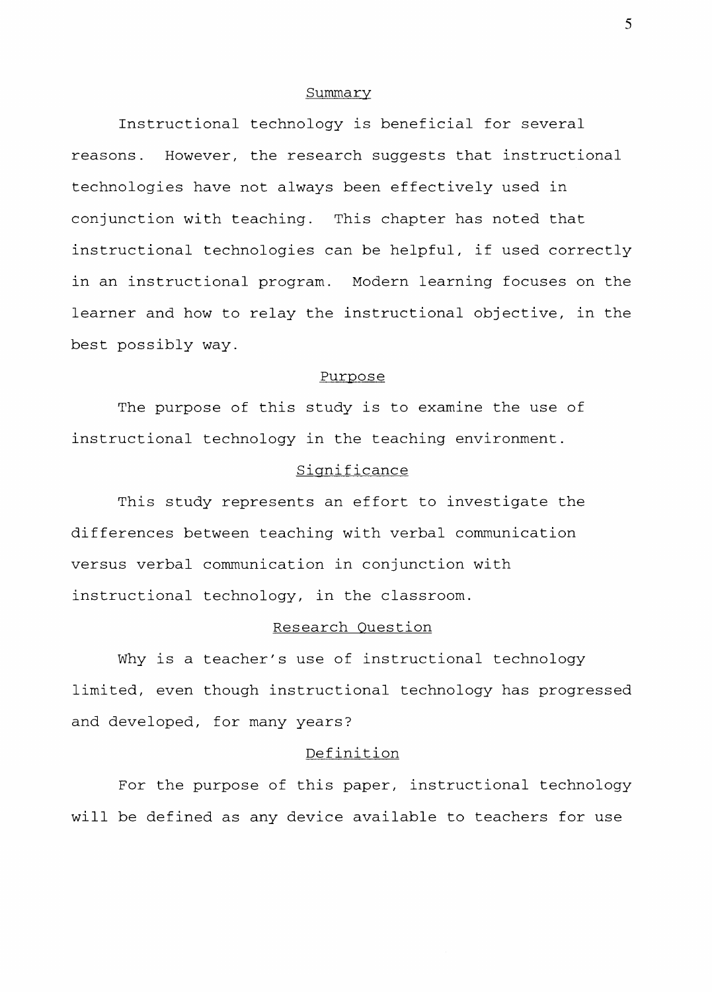#### Summary

Instructional technology is beneficial for several reasons. However, the research suggests that instructional technologies have not always been effectively used in conjunction with teaching. This chapter has noted that instructional technologies can be helpful, if used correctly in an instructional program. Modern learning focuses on the learner and how to relay the instructional objective, in the best possibly way.

#### Purpose

The purpose of this study is to examine the use of instructional technology in the teaching environment.

# Significance

This study represents an effort to investigate the differences between teaching with verbal communication versus verbal communication in conjunction with instructional technology, in the classroom.

# Research Question

Why is a teacher's use of instructional technology limited, even though instructional technology has progressed and developed, for many years?

# Definition

For the purpose of this paper, instructional technology will be defined as any device available to teachers for use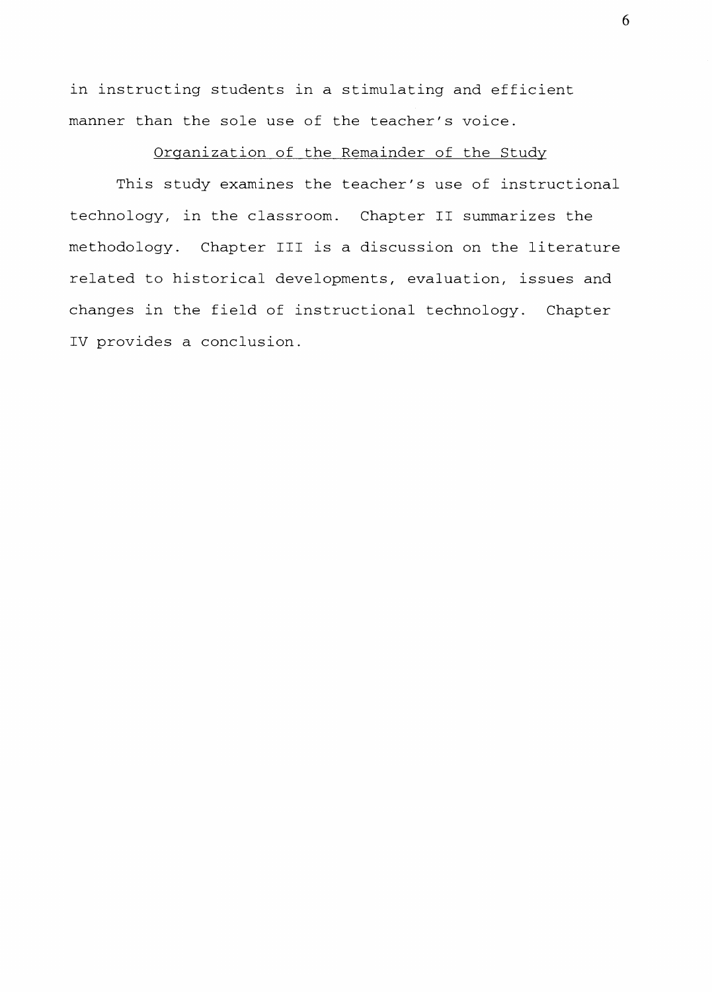in instructing students in a stimulating and efficient manner than the sole use of the teacher's voice.

# Organization of the Remainder of the Study

This study examines the teacher's use of instructional technology, in the classroom. Chapter II summarizes the methodology. Chapter III is a discussion on the literature related to historical developments, evaluation, issues and changes in the field of instructional technology. Chapter IV provides a conclusion.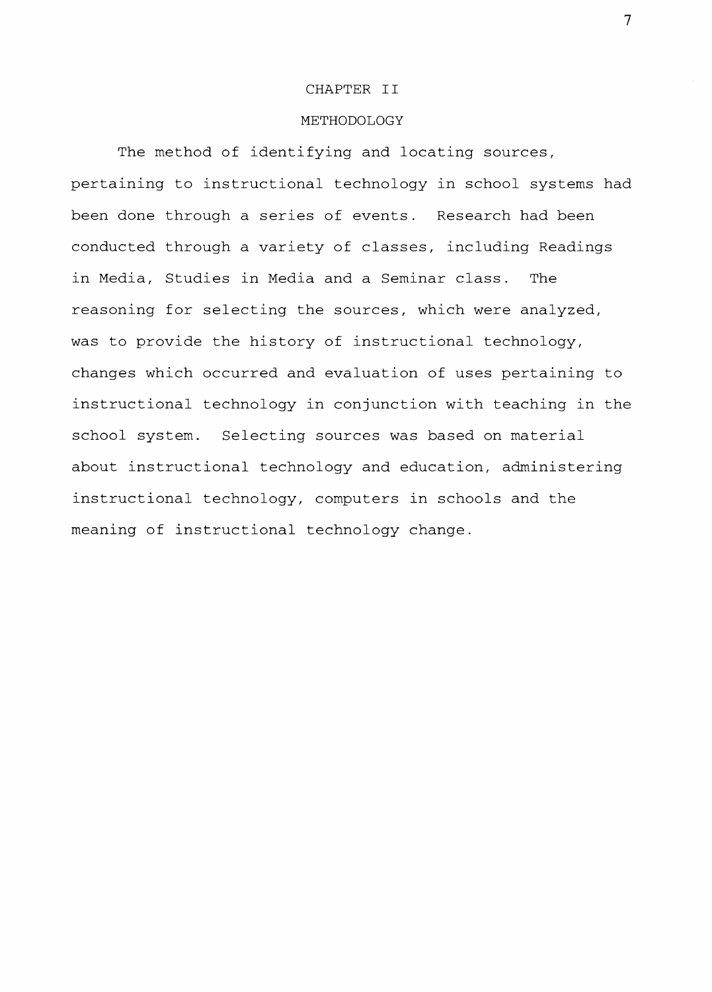#### CHAPTER II

# METHODOLOGY

The method of identifying and locating sources, pertaining to instructional technology in school systems had been done through a series of events. Research had been conducted through a variety of classes, including Readings in Media, Studies in Media and a Seminar class. The reasoning for selecting the sources, which were analyzed, was to provide the history of instructional technology, changes which occurred and evaluation of uses pertaining to instructional technology in conjunction with teaching in the school system. Selecting sources was based on material about instructional technology and education, administering instructional technology, computers in schools and the meaning of instructional technology change.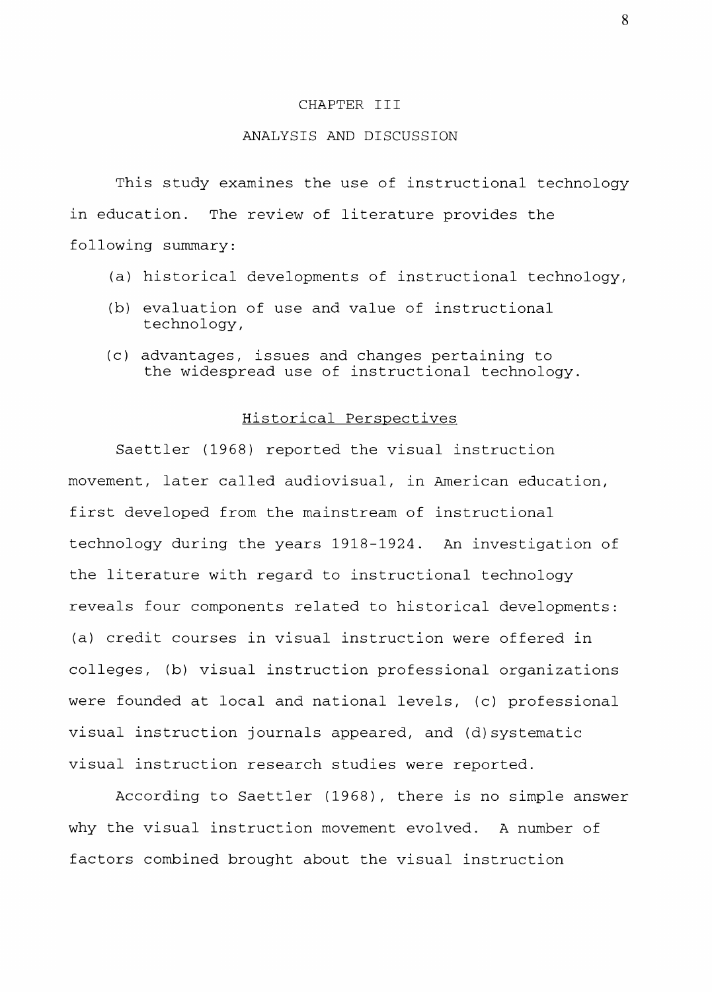#### CHAPTER III

# ANALYSIS AND DISCUSSION

This study examines the use of instructional technology in education. The review of literature provides the following summary:

- (a) historical developments of instructional technology,
- (b) evaluation of use and value of instructional technology,
- (c) advantages, issues and changes pertaining to the widespread use of instructional technology.

# Historical Perspectives

Saettler (1968) reported the visual instruction movement, later called audiovisual, in American education, first developed from the mainstream of instructional technology during the years 1918-1924. An investigation of the literature with regard to instructional technology reveals four components related to historical developments: (a) credit courses in visual instruction were offered in colleges, (b) visual instruction professional organizations were founded at local and national levels, (c) professional visual instruction journals appeared, and (d)systematic visual instruction research studies were reported.

According to Saettler (1968), there is no simple answer why the visual instruction movement evolved. A number of factors combined brought about the visual instruction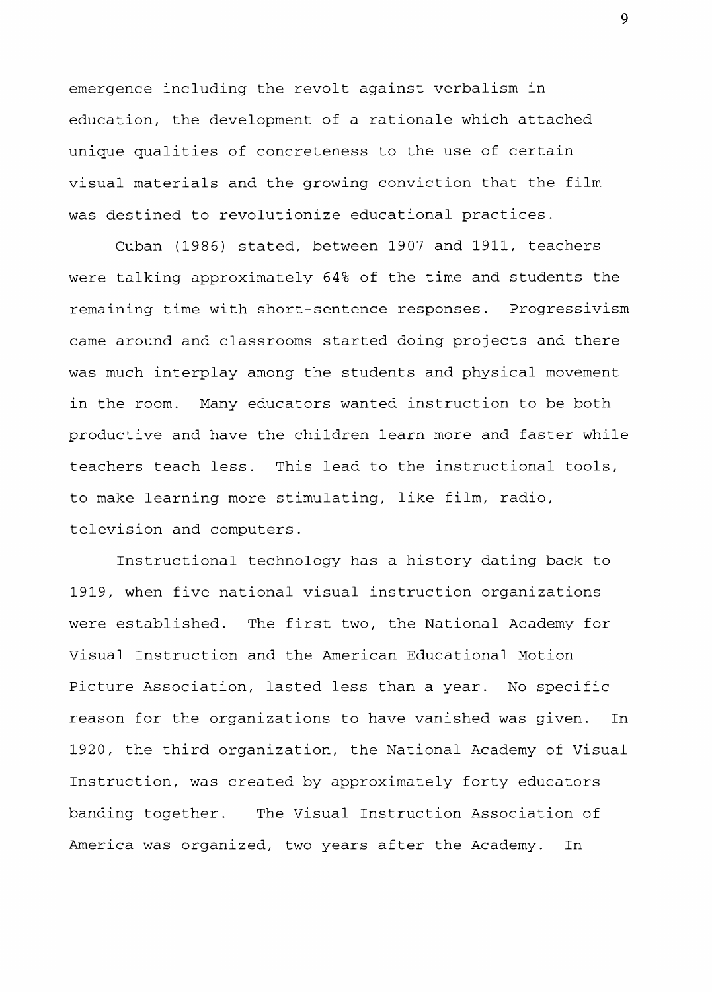emergence including the revolt against verbalism in education, the development of a rationale which attached unique qualities of concreteness to the use of certain visual materials and the growing conviction that the film was destined to revolutionize educational practices.

Cuban (1986) stated, between 1907 and 1911, teachers were talking approximately 64% of the time and students the remaining time with short-sentence responses. Progressivism came around and classrooms started doing projects and there was much interplay among the students and physical movement in the room. Many educators wanted instruction to be both productive and have the children learn more and faster while teachers teach less. This lead to the instructional tools, to make learning more stimulating, like **film,** radio, television and computers.

Instructional technology has a history dating back to 1919, when five national visual instruction organizations were established. The first two, the National Academy for Visual Instruction and the American Educational Motion Picture Association, lasted less than a year. No specific reason for the organizations to have vanished was given. In 1920, the third organization, the National Academy of Visual Instruction, was created by approximately forty educators banding together. The Visual Instruction Association of America was organized, two years after the Academy. In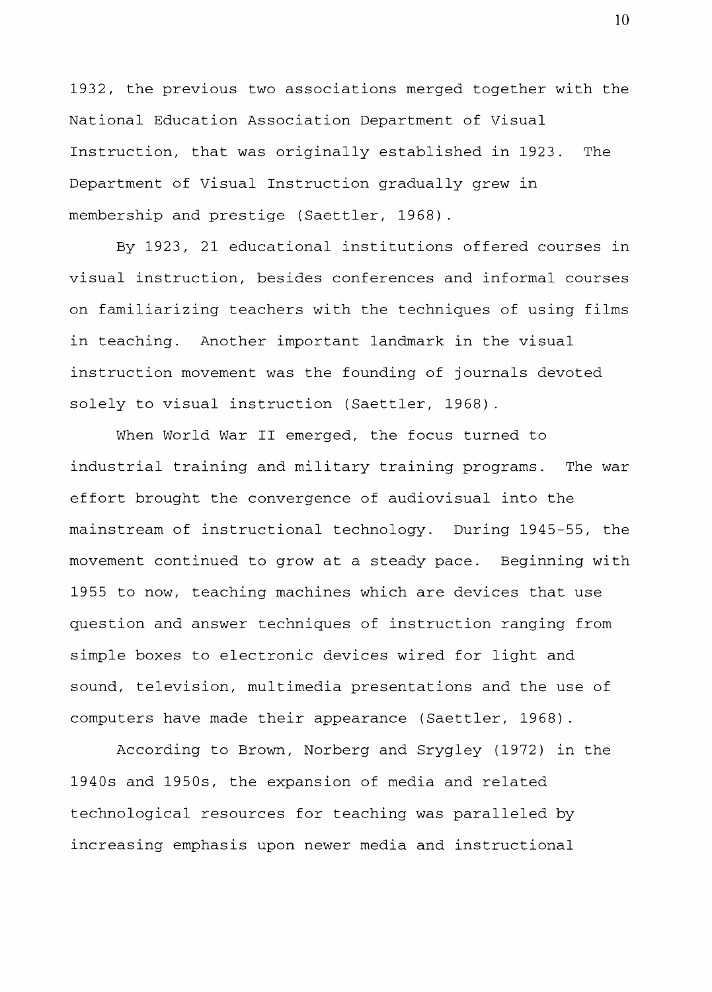1932, the previous two associations merged together with the National Education Association Department of Visual Instruction, that was originally established in 1923. The Department of Visual Instruction gradually grew in membership and prestige (Saettler, 1968).

By 1923, 21 educational institutions offered courses in visual instruction, besides conferences and informal courses on familiarizing teachers with the techniques of using films in teaching. Another important landmark in the visual instruction movement was the founding of journals devoted solely to visual instruction (Saettler, 1968).

When World War II emerged, the focus turned to industrial training and military training programs. The war effort brought the convergence of audiovisual into the mainstream of instructional technology. During 1945-55, the movement continued to grow at a steady pace. Beginning with 1955 to now, teaching machines which are devices that use question and answer techniques of instruction ranging from simple boxes to electronic devices wired for light and sound, television, multimedia presentations and the use of computers have made their appearance (Saettler, 1968).

According to Brown, Norberg and Srygley (1972) in the 1940s and 1950s, the expansion of media and related technological resources for teaching was paralleled by increasing emphasis upon newer media and instructional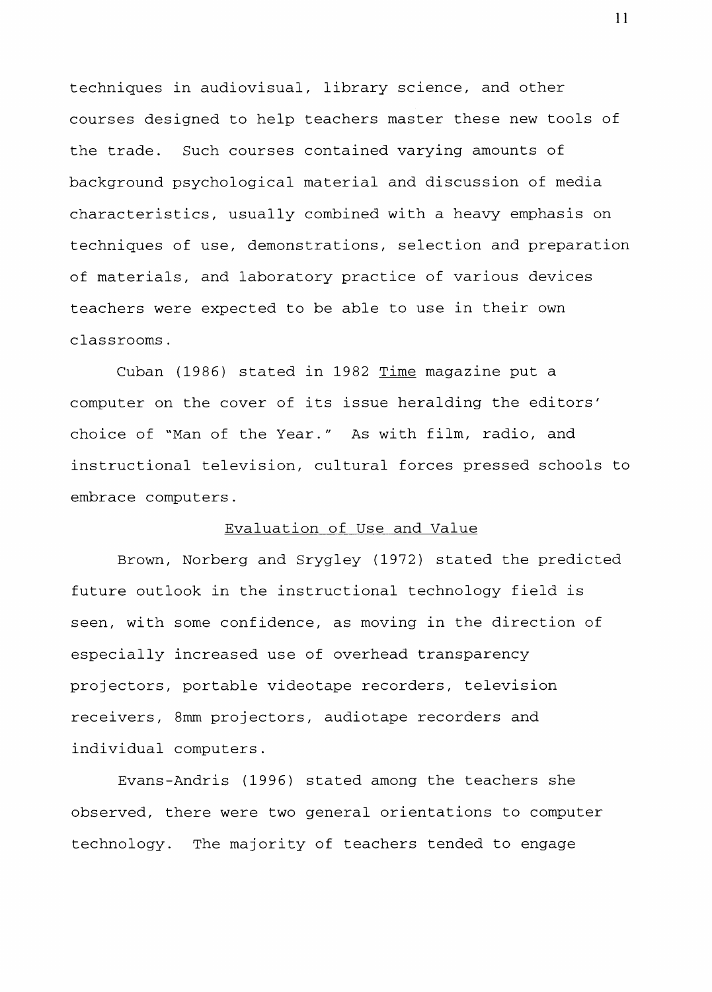techniques in audiovisual, library science, and other courses designed to help teachers master these new tools of the trade. Such courses contained varying amounts of background psychological material and discussion of media characteristics, usually combined with a heavy emphasis on techniques of use, demonstrations, selection and preparation of materials, and laboratory practice of various devices teachers were expected to be able to use in their own classrooms.

Cuban (1986) stated in 1982 Time magazine put a computer on the cover of its issue heralding the editors' choice of "Man of the Year." As with film, radio, and instructional television, cultural forces pressed schools to embrace computers.

# Evaluation of Use and Value

Brown, Norberg and Srygley (1972) stated the predicted future outlook in the instructional technology field is seen, with some confidence, as moving in the direction of especially increased use of overhead transparency projectors, portable videotape recorders, television receivers, 8mm projectors, audiotape recorders and individual computers.

Evans-Andris (1996) stated among the teachers she observed, there were two general orientations to computer technology. The majority of teachers tended to engage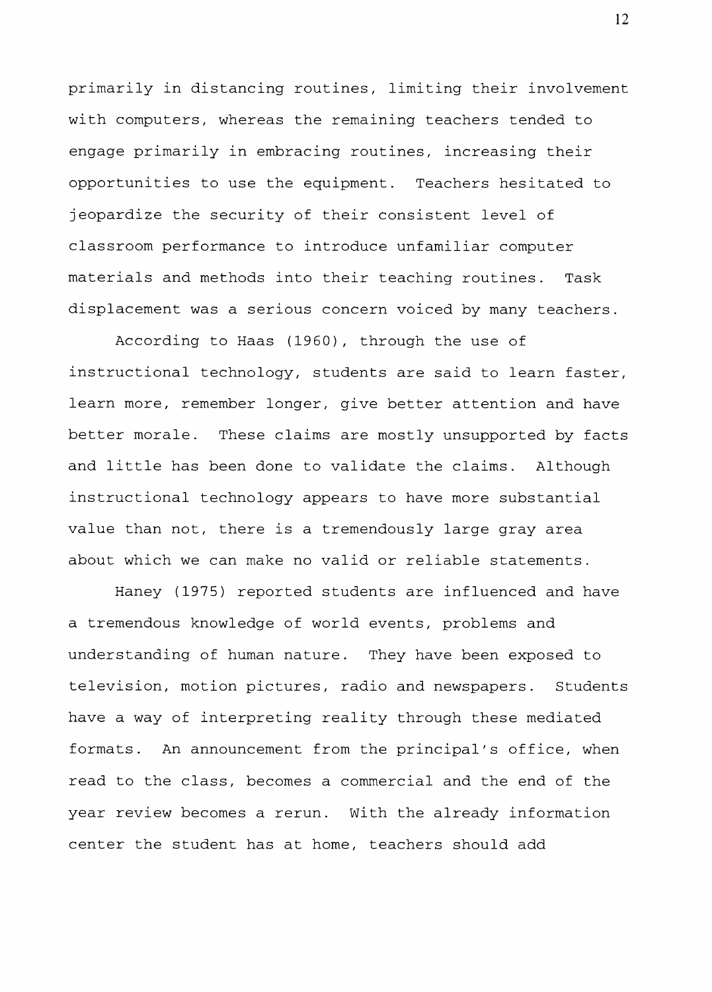primarily in distancing routines, limiting their involvement with computers, whereas the remaining teachers tended to engage primarily in embracing routines, increasing their opportunities to use the equipment. Teachers hesitated to jeopardize the security of their consistent level of classroom performance to introduce unfamiliar computer materials and methods into their teaching routines. Task displacement was a serious concern voiced by many teachers.

According to Haas (1960), through the use of instructional technology, students are said to learn faster, learn more, remember longer, give better attention and have better morale. These claims are mostly unsupported by facts and little has been done to validate the claims. Although instructional technology appears to have more substantial value than not, there is a tremendously large gray area about which we can make no valid or reliable statements.

Haney (1975) reported students are influenced and have a tremendous knowledge of world events, problems and understanding of human nature. They have been exposed to television, motion pictures, radio and newspapers. Students have a way of interpreting reality through these mediated formats. An announcement from the principal's office, when read to the class, becomes a commercial and the end of the year review becomes a rerun. With the already information center the student has at home, teachers should add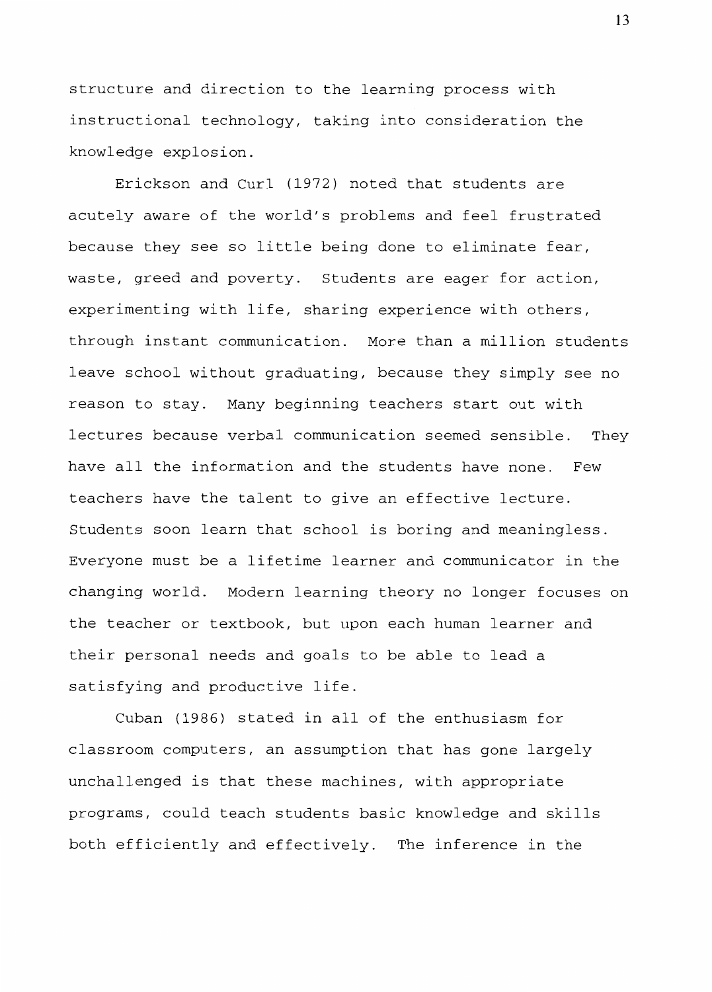structure and direction to the learning process with instructional technology, taking into consideration the knowledge explosion.

Erickson and Curl (1972) noted that students are acutely aware of the world's problems and feel frustrated because they see so little being done to eliminate fear, waste, greed and poverty. Students are eager for action, experimenting with life, sharing experience with others, through instant communication. More than a million students leave school without graduating, because they simply see no reason to stay. Many beginning teachers start out with lectures because verbal communication seemed sensible. They have all the information and the students have none. Few teachers have the talent to give an effective lecture. Students soon learn that school is boring and meaningless. Everyone must be a lifetime learner and communicator in the changing world. Modern learning theory no longer focuses on the teacher or textbook, but upon each human learner and their personal needs and goals to be able to lead a satisfying and productive life.

Cuban (1986) stated in all of the enthusiasm for classroom computers, an assumption that has gone largely unchallenged is that these machines, with appropriate programs, could teach students basic knowledge and skills both efficiently and effectively. The inference in the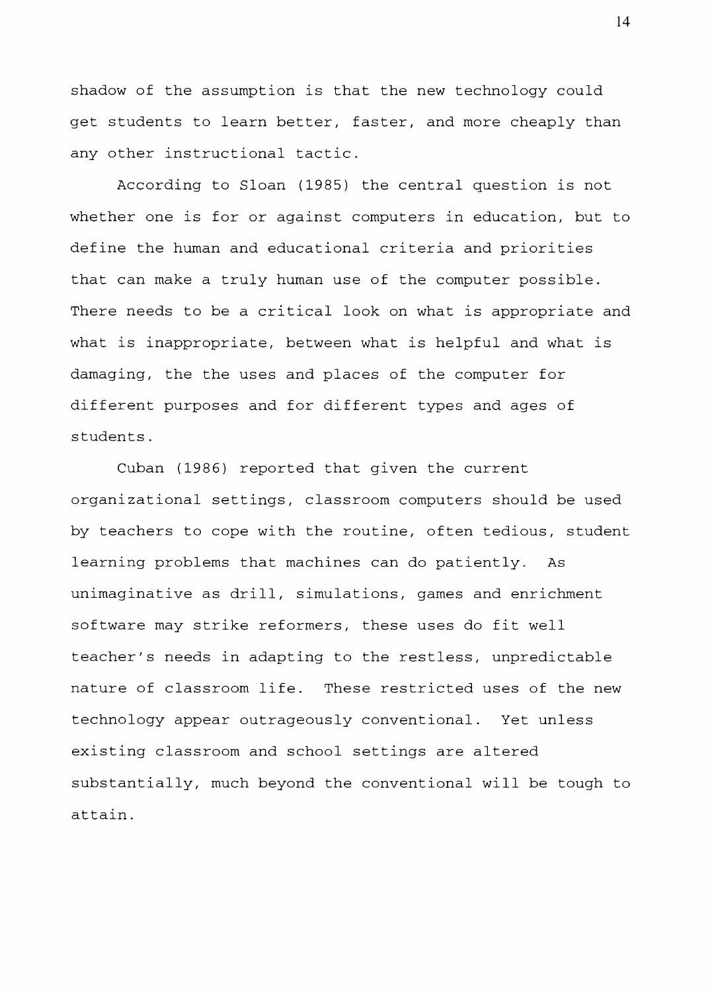shadow of the assumption is that the new technology could get students to learn better, faster, and more cheaply than any other instructional tactic.

According to Sloan (1985) the central question is not whether one is for or against computers in education, but to define the human and educational criteria and priorities that can make a truly human use of the computer possible. There needs to be a critical look on what is appropriate and what is inappropriate, between what is helpful and what is damaging, the the uses and places of the computer for different purposes and for different types and ages of students.

Cuban (1986) reported that given the current organizational settings, classroom computers should be used by teachers to cope with the routine, often tedious, student learning problems that machines can do patiently. As unimaginative as drill, simulations, games and enrichment software may strike reformers, these uses do fit well teacher's needs in adapting to the restless, unpredictable nature of classroom life. These restricted uses of the new technology appear outrageously conventional. Yet unless existing classroom and school settings are altered substantially, much beyond the conventional will be tough to attain.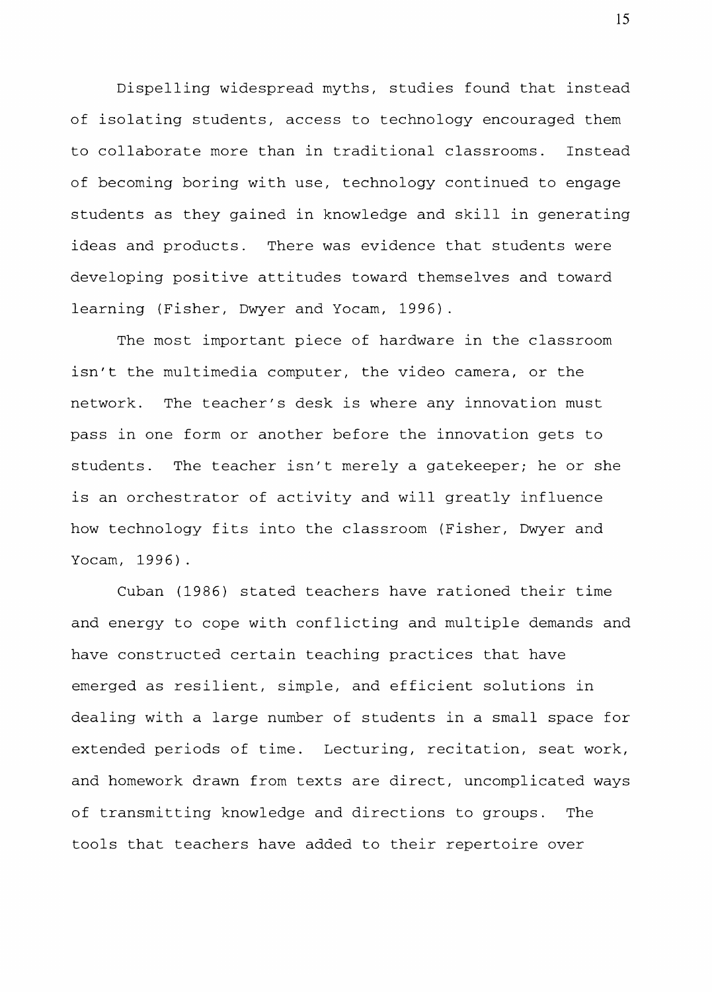Dispelling widespread myths, studies found that instead of isolating students, access to technology encouraged them to collaborate more than in traditional classrooms. Instead of becoming boring with use, technology continued to engage students as they gained in knowledge and skill in generating ideas and products. There was evidence that students were developing positive attitudes toward themselves and toward learning (Fisher, Dwyer and Yocam, 1996).

The most important piece of hardware in the classroom isn't the multimedia computer, the video camera, or the network. The teacher's desk is where any innovation must pass in one form or another before the innovation gets to students. The teacher isn't merely a gatekeeper; he or she is an orchestrator of activity and will greatly influence how technology fits into the classroom (Fisher, Dwyer and Yocam, 1996).

Cuban (1986) stated teachers have rationed their time and energy to cope with conflicting and multiple demands and have constructed certain teaching practices that have emerged as resilient, simple, and efficient solutions in dealing with a large number of students in a small space for extended periods of time. Lecturing, recitation, seat work, and homework drawn from texts are direct, uncomplicated ways of transmitting knowledge and directions to groups. The tools that teachers have added to their repertoire over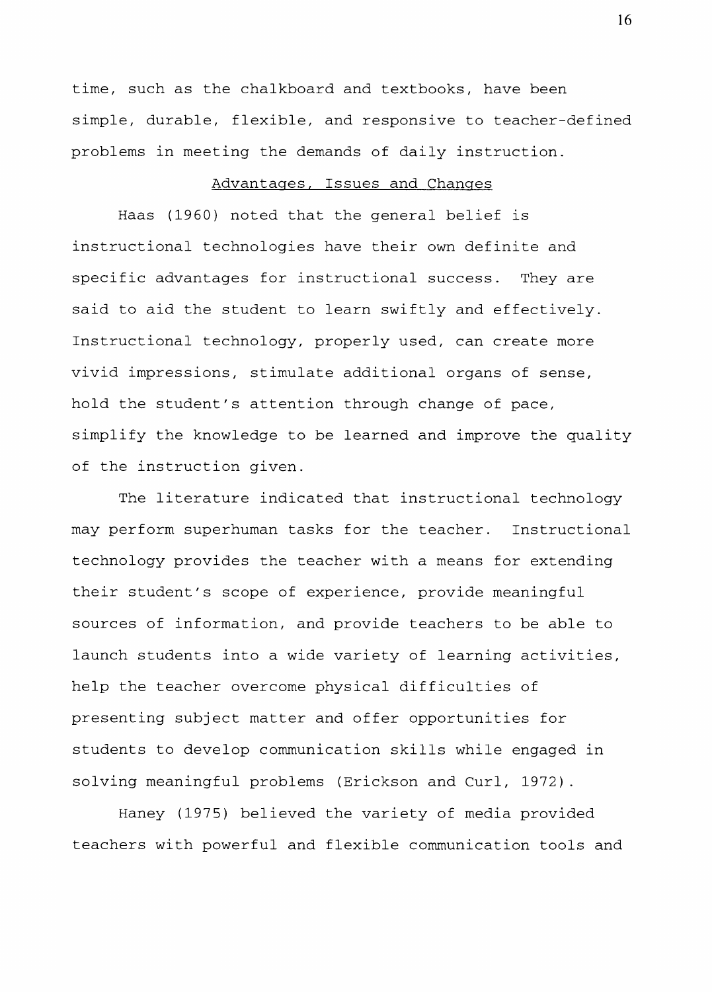time, such as the chalkboard and textbooks, have been simple, durable, flexible, and responsive to teacher-defined problems in meeting the demands of daily instruction.

# Advantages, Issues and Changes

Haas (1960) noted that the general belief is instructional technologies have their own definite and specific advantages for instructional success. They are said to aid the student to learn swiftly and effectively. Instructional technology, properly used, can create more vivid impressions, stimulate additional organs of sense, hold the student's attention through change of pace, simplify the knowledge to be learned and improve the quality of the instruction given.

The literature indicated that instructional technology may perform superhuman tasks for the teacher. Instructional technology provides the teacher with a means for extending their student's scope of experience, provide meaningful sources of information, and provide teachers to be able to launch students into a wide variety of learning activities, help the teacher overcome physical difficulties of presenting subject matter and offer opportunities for students to develop communication skills while engaged in solving meaningful problems (Erickson and Curl, 1972).

Haney (1975) believed the variety of media provided teachers with powerful and flexible communication tools and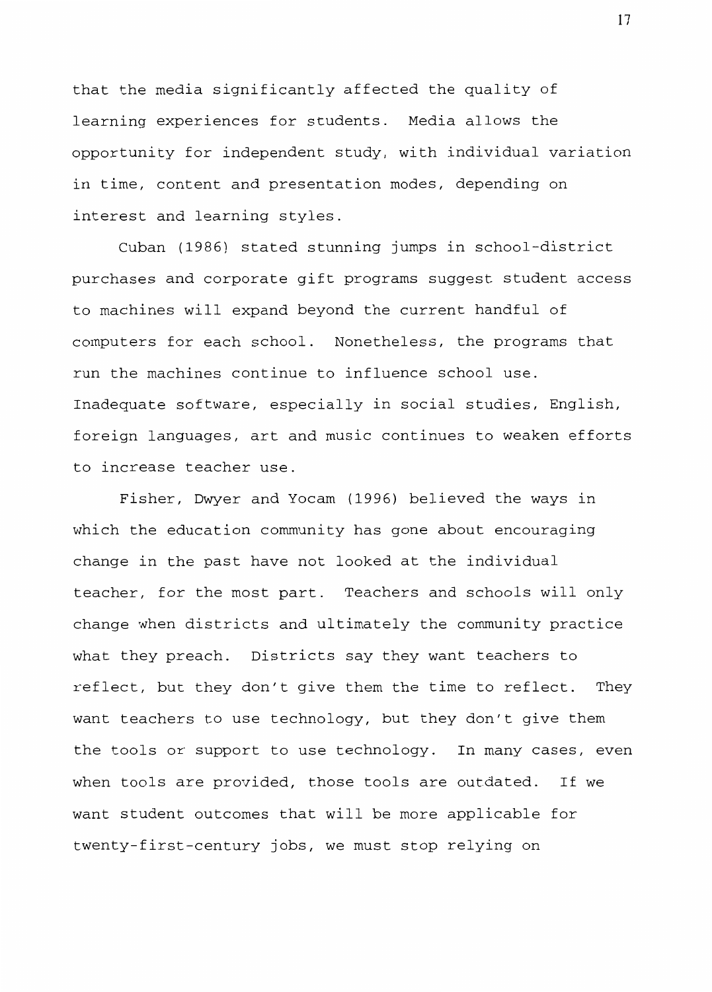that the media significantly affected the quality of learning experiences for students. Media allows the opportunity for independent study, with individual variation in time, content and presentation modes, depending on interest and learning styles.

Cuban (1986) stated stunning jumps in school-district purchases and corporate gift programs suggest student access to machines will expand beyond the current handful of computers for each school. Nonetheless, the programs that run the machines continue to influence school use. Inadequate software, especially in social studies, English, foreign languages, art and music continues to weaken efforts to increase teacher use.

Fisher, Dwyer and Yocam (1996) believed the ways in which the education community has gone about encouraging change in the past have not looked at the individual teacher, for the most part. Teachers and schools will only change when districts and ultimately the community practice what they preach. Districts say they want teachers to reflect, but they don't give them the time to reflect. They want teachers to use technology, but they don't give them the tools or support to use technology. In many cases, even when tools are provided, those tools are outdated. If we want student outcomes that will be more applicable for twenty-first-century jobs, we must stop relying on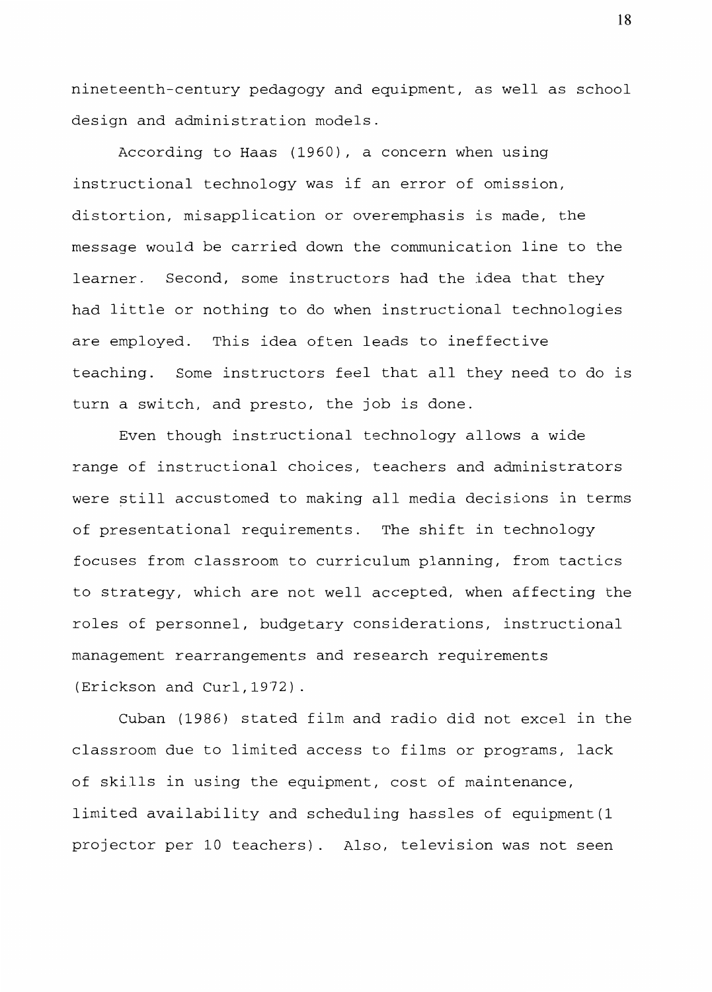nineteenth-century pedagogy and equipment, as well as school design and administration models.

According to Haas (1960), a concern when using instructional technology was if an error of omission, distortion, misapplication or overemphasis is made, the message would be carried down the communication line to the learner. Second, some instructors had the idea that they had little or nothing to do when instructional technologies are employed. This idea often leads to ineffective teaching. Some instructors feel that all they need to do is turn a switch, and presto, the job is done.

Even though instructional technology allows a wide range of instructional choices, teachers and administrators were still accustomed to making all media decisions in terms of presentational requirements. The shift in technology focuses from classroom to curriculum planning, from tactics to strategy, which are not well accepted, when affecting the roles of personnel, budgetary considerations, instructional management rearrangements and research requirements (Erickson and Curl,1972).

Cuban (1986) stated film and radio did not excel in the classroom due to limited access to films or programs, lack of skills in using the equipment, cost of maintenance, limited availability and scheduling hassles of equipment(l projector per 10 teachers). Also, television was not seen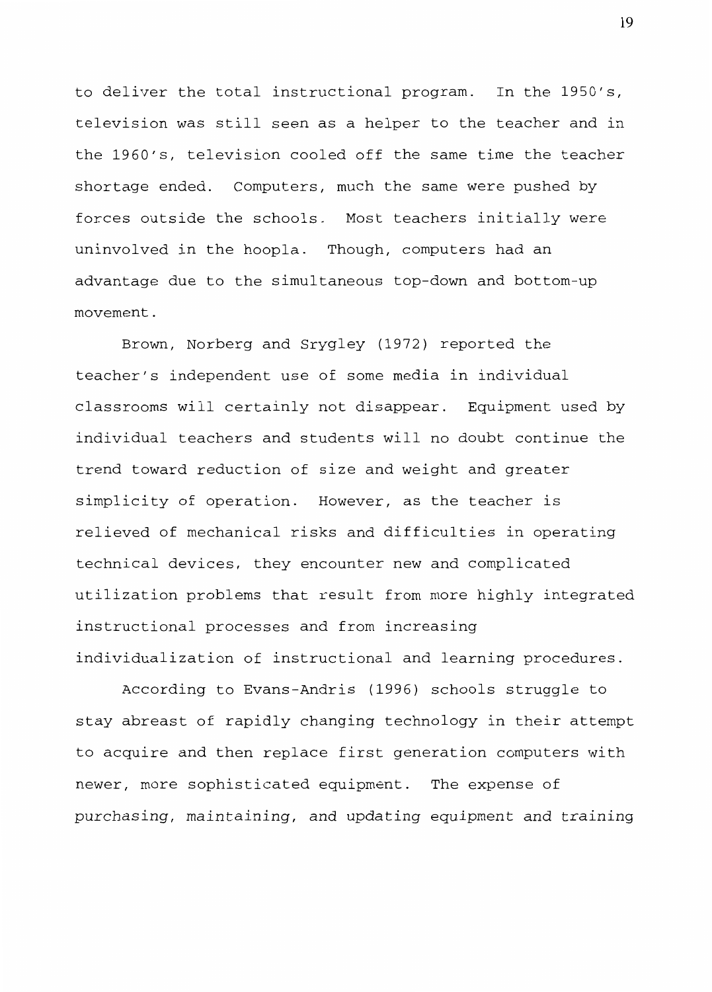to deliver the total instructional program. In the 1950's, television was still seen as a helper to the teacher and in the 1960's, television cooled off the same time the teacher shortage ended. Computers, much the same were pushed by forces outside the schools. Most teachers initially were uninvolved in the hoopla. Though, computers had an advantage due to the simultaneous top-down and bottom-up movement.

Brown, Norberg and Srygley (1972) reported the teacher's independent use of some media in individual classrooms will certainly not disappear. Equipment used by individual teachers and students will no doubt continue the trend toward reduction of size and weight and greater simplicity of operation. However, as the teacher is relieved of mechanical risks and difficulties in operating technical devices, they encounter new and complicated utilization problems that result from more highly integrated instructional processes and from increasing individualization of instructional and learning procedures.

According to Evans-Andris (1996) schools struggle to stay abreast of rapidly changing technology in their attempt to acquire and then replace first generation computers with newer, more sophisticated equipment. The expense of purchasing, maintaining, and updating equipment and training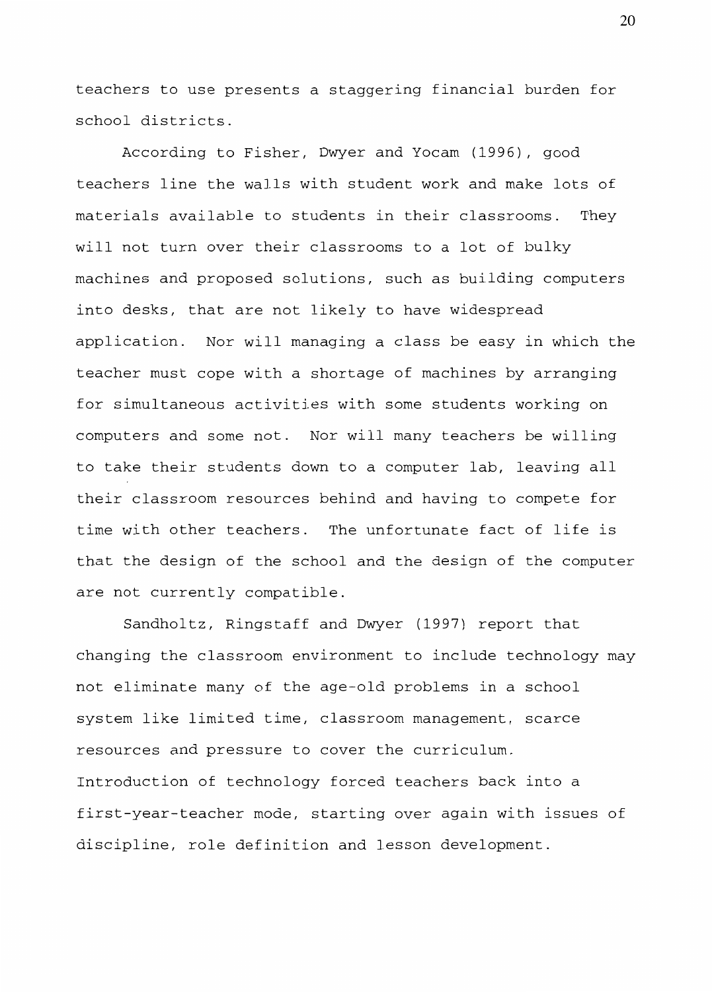teachers to use presents a staggering financial burden for school districts.

According to Fisher, Dwyer and Yocam (1996), good teachers line the walls with student work and make lots of materials available to students in their classrooms. They will not turn over their classrooms to a lot of bulky machines and proposed solutions, such as building computers into desks, that are not likely to have widespread application. Nor will managing a class be easy in which the teacher must cope with a shortage of machines by arranging for simultaneous activities with some students working on computers and some not. Nor will many teachers be willing to take their students down to a computer lab, leaving all their classroom resources behind and having to compete for time with other teachers. The unfortunate fact of life is that the design of the school and the design of the computer are not currently compatible.

Sandholtz, Ringstaff and Dwyer (1997) report that changing the classroom environment to include technology may not eliminate many of the age-old problems in a school system like limited time, classroom management, scarce resources and pressure to cover the curriculum. Introduction of technology forced teachers back into a first-year-teacher mode, starting over again with issues of discipline, role definition and lesson development.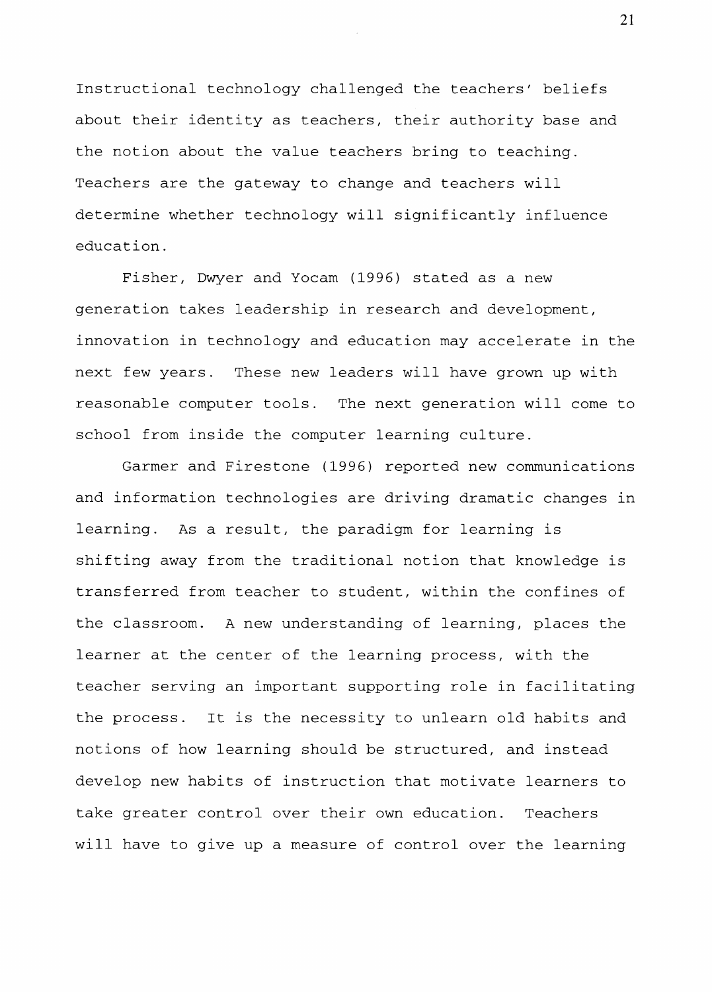Instructional technology challenged the teachers' beliefs about their identity as teachers, their authority base and the notion about the value teachers bring to teaching. Teachers are the gateway to change and teachers will determine whether technology will significantly influence education.

Fisher, Dwyer and Yocam (1996) stated as a new generation takes leadership in research and development, innovation in technology and education may accelerate in the next few years. These new leaders will have grown up with reasonable computer tools. The next generation will come to school from inside the computer learning culture.

Garmer and Firestone (1996) reported new communications and information technologies are driving dramatic changes in learning. As a result, the paradigm for learning is shifting away from the traditional notion that knowledge is transferred from teacher to student, within the confines of the classroom. A new understanding of learning, places the learner at the center of the learning process, with the teacher serving an important supporting role in facilitating the process. It is the necessity to unlearn old habits and notions of how learning should be structured, and instead develop new habits of instruction that motivate learners to take greater control over their own education. Teachers will have to give up a measure of control over the learning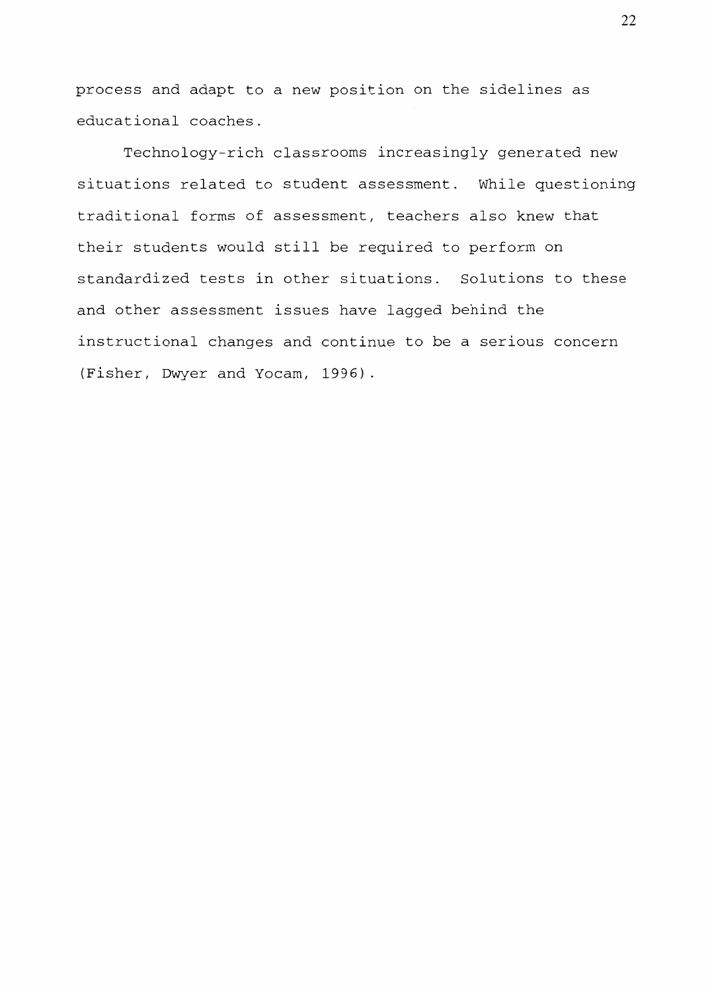process and adapt to a new position on the sidelines as educational coaches.

Technology-rich classrooms increasingly generated new situations related to student assessment. While questioning traditional forms of assessment, teachers also knew that their students would still be required to perform on standardized tests in other situations. Solutions to these and other assessment issues have lagged behind the instructional changes and continue to be a serious concern (Fisher, Dwyer and Yocam, 1996).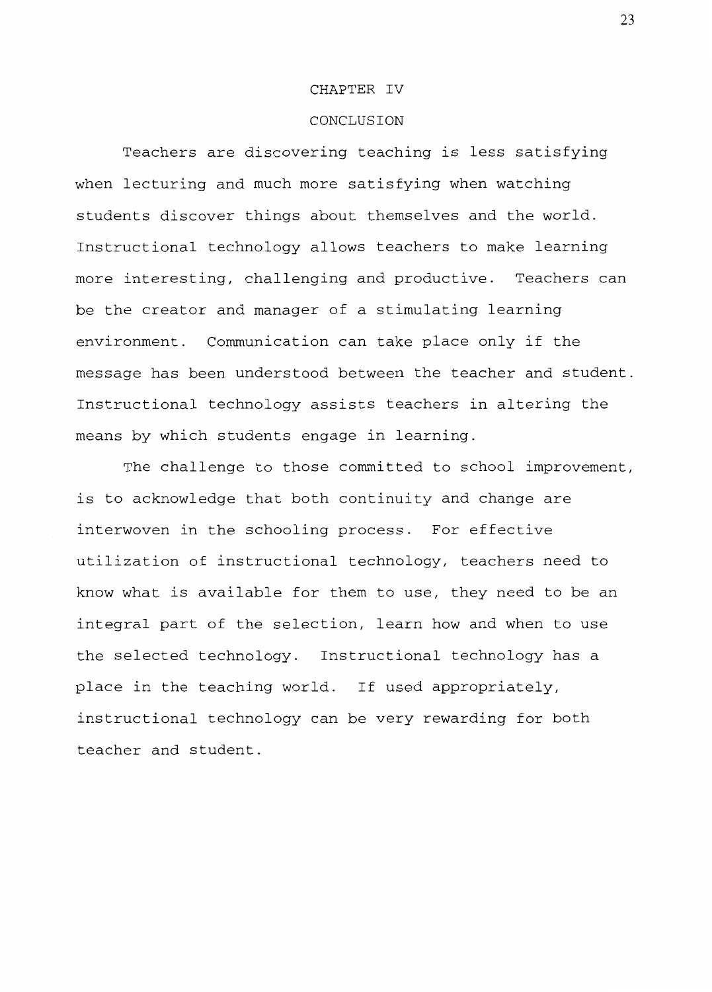#### CHAPTER IV

# CONCLUSION

Teachers are discovering teaching is less satisfying when lecturing and much more satisfying when watching students discover things about themselves and the world. Instructional technology allows teachers to make learning more interesting, challenging and productive. Teachers can be the creator and manager of a stimulating learning environment. Communication can take place only if the message has been understood between the teacher and student. Instructional technology assists teachers in altering the means by which students engage in learning.

The challenge to those committed to school improvement, is to acknowledge that both continuity and change are interwoven in the schooling process. For effective utilization of instructional technology, teachers need to know what is available for them to use, they need to be an integral part of the selection, learn how and when to use the selected technology. Instructional technology has a place in the teaching world. If used appropriately, instructional technology can be very rewarding for both teacher and student.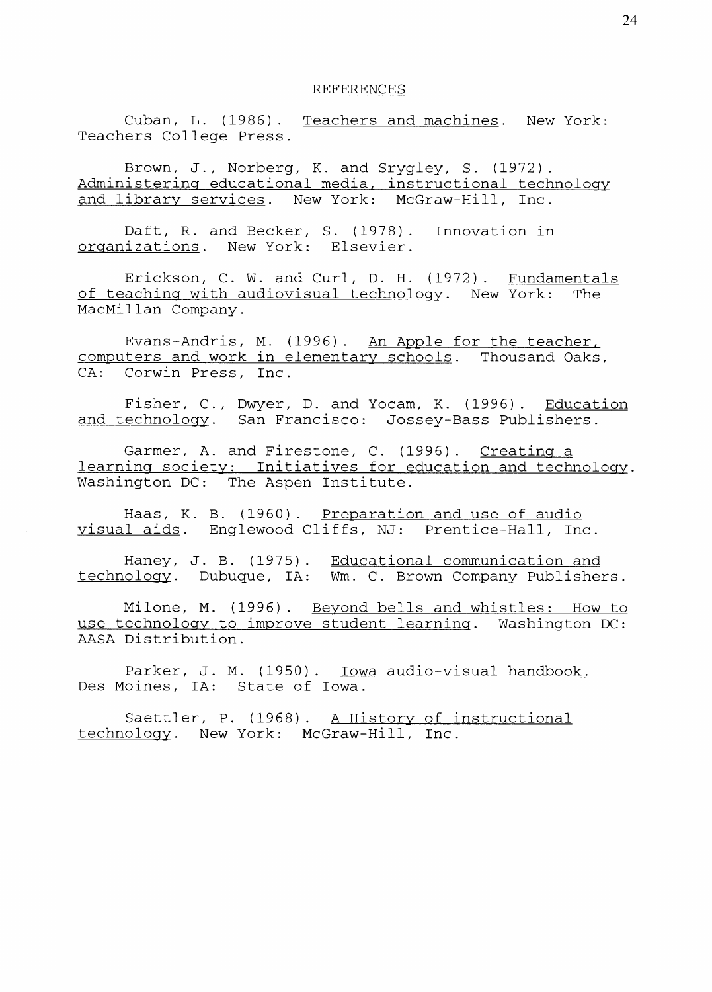#### REFERENCES

Cuban, L. (1986). Teachers and machines. New York: Teachers College Press.

Brown, J., Norberg, K. and Srygley, S. (1972). Administering educational media, instructional technology and library services. New York: McGraw-Hill, Inc.

Daft, R. and Becker, S. (1978). Innovation in organizations. New York: Elsevier.

Erickson, C. W. and Curl, D. H. (1972). Fundamentals<br>aching with audiovisual technology. New York: The of teaching with audiovisual technology. New York: MacMillan Company.

Evans-Andris, M. (1996). An Apple for the teacher, computers and work in elementarv schools. Thousand Oaks, CA: Corwin Press, Inc.

Fisher, C., Dwyer, D. and Yocam, K. (1996). Education and technology. San Francisco: Jossey-Bass Publishers.

Garmer, A. and Firestone, C. (1996). Creating a learning society: Initiatives for education and technology. Washington DC: The Aspen Institute.

Haas, K. B. (1960). Preparation and use of audio visual aids. Englewood Cliffs, NJ: Prentice-Hall, Inc.

Haney, technology. J. B. (1975). Dubuque, IA: Educational communication and Wm. C. Brown Company Publishers.

Milone, M. (1996). Beyond bells and whistles: How to use technology to improve student learning. Washington DC: AASA Distribution.

Parker, J. M. (1950). Iowa audio-visual handbook. Des Moines, IA: State of Iowa.

Saettler, P. (1968). A History of instructional technology. New York: McGraw-Hill, Inc.